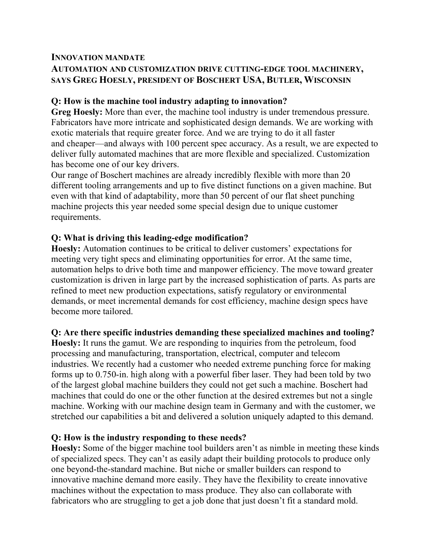### **INNOVATION MANDATE AUTOMATION AND CUSTOMIZATION DRIVE CUTTING-EDGE TOOL MACHINERY, SAYS GREG HOESLY, PRESIDENT OF BOSCHERT USA, BUTLER, WISCONSIN**

## **Q: How is the machine tool industry adapting to innovation?**

**Greg Hoesly:** More than ever, the machine tool industry is under tremendous pressure. Fabricators have more intricate and sophisticated design demands. We are working with exotic materials that require greater force. And we are trying to do it all faster and cheaper—and always with 100 percent spec accuracy. As a result, we are expected to deliver fully automated machines that are more flexible and specialized. Customization has become one of our key drivers.

Our range of Boschert machines are already incredibly flexible with more than 20 different tooling arrangements and up to five distinct functions on a given machine. But even with that kind of adaptability, more than 50 percent of our flat sheet punching machine projects this year needed some special design due to unique customer requirements.

## **Q: What is driving this leading-edge modification?**

**Hoesly:** Automation continues to be critical to deliver customers' expectations for meeting very tight specs and eliminating opportunities for error. At the same time, automation helps to drive both time and manpower efficiency. The move toward greater customization is driven in large part by the increased sophistication of parts. As parts are refined to meet new production expectations, satisfy regulatory or environmental demands, or meet incremental demands for cost efficiency, machine design specs have become more tailored.

# **Q: Are there specific industries demanding these specialized machines and tooling?**

**Hoesly:** It runs the gamut. We are responding to inquiries from the petroleum, food processing and manufacturing, transportation, electrical, computer and telecom industries. We recently had a customer who needed extreme punching force for making forms up to 0.750-in. high along with a powerful fiber laser. They had been told by two of the largest global machine builders they could not get such a machine. Boschert had machines that could do one or the other function at the desired extremes but not a single machine. Working with our machine design team in Germany and with the customer, we stretched our capabilities a bit and delivered a solution uniquely adapted to this demand.

## **Q: How is the industry responding to these needs?**

**Hoesly:** Some of the bigger machine tool builders aren't as nimble in meeting these kinds of specialized specs. They can't as easily adapt their building protocols to produce only one beyond-the-standard machine. But niche or smaller builders can respond to innovative machine demand more easily. They have the flexibility to create innovative machines without the expectation to mass produce. They also can collaborate with fabricators who are struggling to get a job done that just doesn't fit a standard mold.